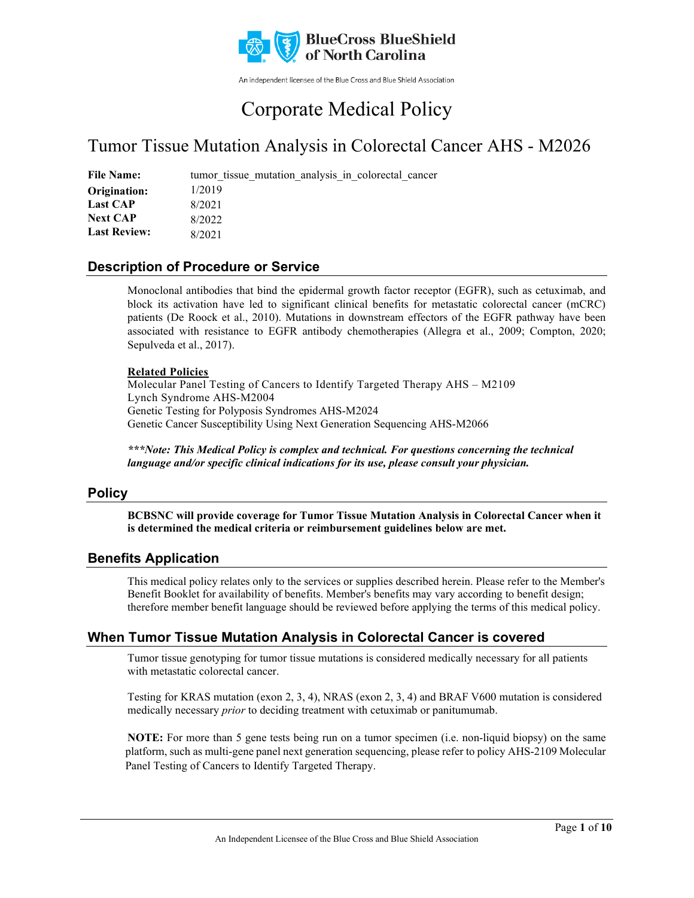

An independent licensee of the Blue Cross and Blue Shield Association

# Corporate Medical Policy

## Tumor Tissue Mutation Analysis in Colorectal Cancer AHS - M2026

File Name: tumor tissue mutation analysis in colorectal cancer 1/2019 8/2021 8/2022 8/2021 **Origination: Last CAP Next CAP Last Review:**

### **Description of Procedure or Service**

Monoclonal antibodies that bind the epidermal growth factor receptor (EGFR), such as cetuximab, and block its activation have led to significant clinical benefits for metastatic colorectal cancer (mCRC) patients (De Roock et al., 2010). Mutations in downstream effectors of the EGFR pathway have been associated with resistance to EGFR antibody chemotherapies (Allegra et al., 2009; Compton, 2020; Sepulveda et al., 2017).

#### **Related Policies**

Molecular Panel Testing of Cancers to Identify Targeted Therapy AHS – M2109 Lynch Syndrome AHS-M2004 Genetic Testing for Polyposis Syndromes AHS-M2024 Genetic Cancer Susceptibility Using Next Generation Sequencing AHS-M2066

*\*\*\*Note: This Medical Policy is complex and technical. For questions concerning the technical language and/or specific clinical indications for its use, please consult your physician.*

### **Policy**

**BCBSNC will provide coverage for Tumor Tissue Mutation Analysis in Colorectal Cancer when it is determined the medical criteria or reimbursement guidelines below are met.**

### **Benefits Application**

This medical policy relates only to the services or supplies described herein. Please refer to the Member's Benefit Booklet for availability of benefits. Member's benefits may vary according to benefit design; therefore member benefit language should be reviewed before applying the terms of this medical policy.

### **When Tumor Tissue Mutation Analysis in Colorectal Cancer is covered**

Tumor tissue genotyping for tumor tissue mutations is considered medically necessary for all patients with metastatic colorectal cancer.

Testing for KRAS mutation (exon 2, 3, 4), NRAS (exon 2, 3, 4) and BRAF V600 mutation is considered medically necessary *prior* to deciding treatment with cetuximab or panitumumab.

**NOTE:** For more than 5 gene tests being run on a tumor specimen (i.e. non-liquid biopsy) on the same platform, such as multi-gene panel next generation sequencing, please refer to policy AHS-2109 Molecular Panel Testing of Cancers to Identify Targeted Therapy.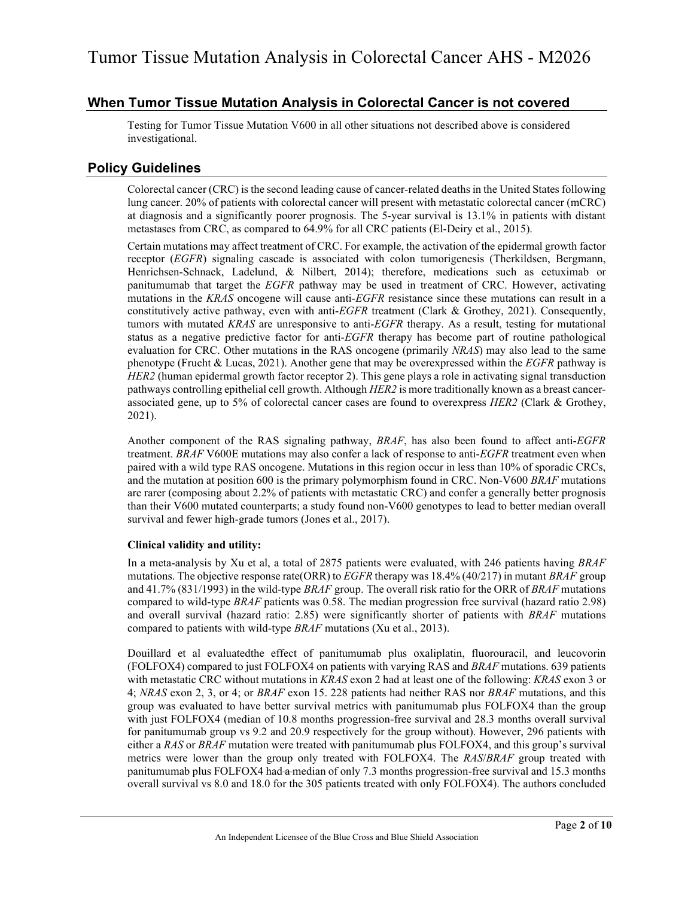### **When Tumor Tissue Mutation Analysis in Colorectal Cancer is not covered**

Testing for Tumor Tissue Mutation V600 in all other situations not described above is considered investigational.

### **Policy Guidelines**

Colorectal cancer (CRC) is the second leading cause of cancer-related deaths in the United States following lung cancer. 20% of patients with colorectal cancer will present with metastatic colorectal cancer (mCRC) at diagnosis and a significantly poorer prognosis. The 5-year survival is 13.1% in patients with distant metastases from CRC, as compared to 64.9% for all CRC patients (El-Deiry et al., 2015).

Certain mutations may affect treatment of CRC. For example, the activation of the epidermal growth factor receptor (*EGFR*) signaling cascade is associated with colon tumorigenesis (Therkildsen, Bergmann, Henrichsen-Schnack, Ladelund, & Nilbert, 2014); therefore, medications such as cetuximab or panitumumab that target the *EGFR* pathway may be used in treatment of CRC. However, activating mutations in the *KRAS* oncogene will cause anti-*EGFR* resistance since these mutations can result in a constitutively active pathway, even with anti-*EGFR* treatment (Clark & Grothey, 2021). Consequently, tumors with mutated *KRAS* are unresponsive to anti-*EGFR* therapy. As a result, testing for mutational status as a negative predictive factor for anti-*EGFR* therapy has become part of routine pathological evaluation for CRC. Other mutations in the RAS oncogene (primarily *NRAS*) may also lead to the same phenotype (Frucht & Lucas, 2021). Another gene that may be overexpressed within the *EGFR* pathway is *HER2* (human epidermal growth factor receptor 2). This gene plays a role in activating signal transduction pathways controlling epithelial cell growth. Although *HER2* is more traditionally known as a breast cancerassociated gene, up to 5% of colorectal cancer cases are found to overexpress *HER2* (Clark & Grothey, 2021).

Another component of the RAS signaling pathway, *BRAF*, has also been found to affect anti-*EGFR* treatment. *BRAF* V600E mutations may also confer a lack of response to anti-*EGFR* treatment even when paired with a wild type RAS oncogene. Mutations in this region occur in less than 10% of sporadic CRCs, and the mutation at position 600 is the primary polymorphism found in CRC. Non-V600 *BRAF* mutations are rarer (composing about 2.2% of patients with metastatic CRC) and confer a generally better prognosis than their V600 mutated counterparts; a study found non-V600 genotypes to lead to better median overall survival and fewer high-grade tumors (Jones et al., 2017).

#### **Clinical validity and utility:**

In a meta-analysis by Xu et al, a total of 2875 patients were evaluated, with 246 patients having *BRAF* mutations. The objective response rate(ORR) to *EGFR* therapy was 18.4% (40/217) in mutant *BRAF* group and 41.7% (831/1993) in the wild-type *BRAF* group. The overall risk ratio for the ORR of *BRAF* mutations compared to wild-type *BRAF* patients was 0.58. The median progression free survival (hazard ratio 2.98) and overall survival (hazard ratio: 2.85) were significantly shorter of patients with *BRAF* mutations compared to patients with wild-type *BRAF* mutations (Xu et al., 2013).

Douillard et al evaluatedthe effect of panitumumab plus oxaliplatin, fluorouracil, and leucovorin (FOLFOX4) compared to just FOLFOX4 on patients with varying RAS and *BRAF* mutations. 639 patients with metastatic CRC without mutations in *KRAS* exon 2 had at least one of the following: *KRAS* exon 3 or 4; *NRAS* exon 2, 3, or 4; or *BRAF* exon 15. 228 patients had neither RAS nor *BRAF* mutations, and this group was evaluated to have better survival metrics with panitumumab plus FOLFOX4 than the group with just FOLFOX4 (median of 10.8 months progression-free survival and 28.3 months overall survival for panitumumab group vs 9.2 and 20.9 respectively for the group without). However, 296 patients with either a *RAS* or *BRAF* mutation were treated with panitumumab plus FOLFOX4, and this group's survival metrics were lower than the group only treated with FOLFOX4. The *RAS*/*BRAF* group treated with panitumumab plus FOLFOX4 had a median of only 7.3 months progression-free survival and 15.3 months overall survival vs 8.0 and 18.0 for the 305 patients treated with only FOLFOX4). The authors concluded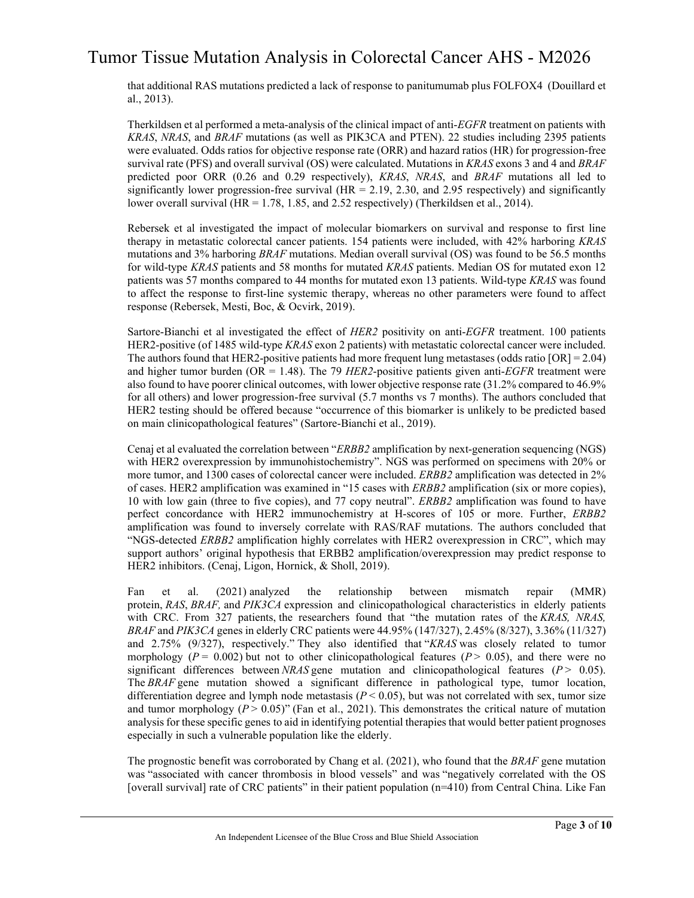that additional RAS mutations predicted a lack of response to panitumumab plus FOLFOX4 (Douillard et al., 2013).

Therkildsen et al performed a meta-analysis of the clinical impact of anti-*EGFR* treatment on patients with *KRAS*, *NRAS*, and *BRAF* mutations (as well as PIK3CA and PTEN). 22 studies including 2395 patients were evaluated. Odds ratios for objective response rate (ORR) and hazard ratios (HR) for progression-free survival rate (PFS) and overall survival (OS) were calculated. Mutations in *KRAS* exons 3 and 4 and *BRAF* predicted poor ORR (0.26 and 0.29 respectively), *KRAS*, *NRAS*, and *BRAF* mutations all led to significantly lower progression-free survival ( $HR = 2.19, 2.30,$  and 2.95 respectively) and significantly lower overall survival (HR = 1.78, 1.85, and 2.52 respectively) (Therkildsen et al., 2014).

Rebersek et al investigated the impact of molecular biomarkers on survival and response to first line therapy in metastatic colorectal cancer patients. 154 patients were included, with 42% harboring *KRAS* mutations and 3% harboring *BRAF* mutations. Median overall survival (OS) was found to be 56.5 months for wild-type *KRAS* patients and 58 months for mutated *KRAS* patients. Median OS for mutated exon 12 patients was 57 months compared to 44 months for mutated exon 13 patients. Wild-type *KRAS* was found to affect the response to first-line systemic therapy, whereas no other parameters were found to affect response (Rebersek, Mesti, Boc, & Ocvirk, 2019).

Sartore-Bianchi et al investigated the effect of *HER2* positivity on anti-*EGFR* treatment. 100 patients HER2-positive (of 1485 wild-type *KRAS* exon 2 patients) with metastatic colorectal cancer were included. The authors found that HER2-positive patients had more frequent lung metastases (odds ratio  $[OR] = 2.04$ ) and higher tumor burden (OR = 1.48). The 79 *HER2*-positive patients given anti-*EGFR* treatment were also found to have poorer clinical outcomes, with lower objective response rate (31.2% compared to 46.9% for all others) and lower progression-free survival (5.7 months vs 7 months). The authors concluded that HER2 testing should be offered because "occurrence of this biomarker is unlikely to be predicted based on main clinicopathological features" (Sartore-Bianchi et al., 2019).

Cenaj et al evaluated the correlation between "*ERBB2* amplification by next-generation sequencing (NGS) with HER2 overexpression by immunohistochemistry". NGS was performed on specimens with 20% or more tumor, and 1300 cases of colorectal cancer were included. *ERBB2* amplification was detected in 2% of cases. HER2 amplification was examined in "15 cases with *ERBB2* amplification (six or more copies), 10 with low gain (three to five copies), and 77 copy neutral". *ERBB2* amplification was found to have perfect concordance with HER2 immunochemistry at H-scores of 105 or more. Further, *ERBB2* amplification was found to inversely correlate with RAS/RAF mutations. The authors concluded that "NGS-detected *ERBB2* amplification highly correlates with HER2 overexpression in CRC", which may support authors' original hypothesis that ERBB2 amplification/overexpression may predict response to HER2 inhibitors. (Cenaj, Ligon, Hornick, & Sholl, 2019).

Fan et al. (2021) analyzed the relationship between mismatch repair (MMR) protein, *RAS*, *BRAF,* and *PIK3CA* expression and clinicopathological characteristics in elderly patients with CRC. From 327 patients, the researchers found that "the mutation rates of the *KRAS, NRAS, BRAF* and *PIK3CA* genes in elderly CRC patients were 44.95% (147/327), 2.45% (8/327), 3.36% (11/327) and 2.75% (9/327), respectively." They also identified that "*KRAS* was closely related to tumor morphology ( $P = 0.002$ ) but not to other clinicopathological features ( $P > 0.05$ ), and there were no significant differences between *NRAS* gene mutation and clinicopathological features (*P* > 0.05). The *BRAF* gene mutation showed a significant difference in pathological type, tumor location, differentiation degree and lymph node metastasis ( $P \le 0.05$ ), but was not correlated with sex, tumor size and tumor morphology  $(P > 0.05)$ " (Fan et al., 2021). This demonstrates the critical nature of mutation analysis for these specific genes to aid in identifying potential therapies that would better patient prognoses especially in such a vulnerable population like the elderly.

The prognostic benefit was corroborated by Chang et al. (2021), who found that the *BRAF* gene mutation was "associated with cancer thrombosis in blood vessels" and was "negatively correlated with the OS [overall survival] rate of CRC patients" in their patient population (n=410) from Central China. Like Fan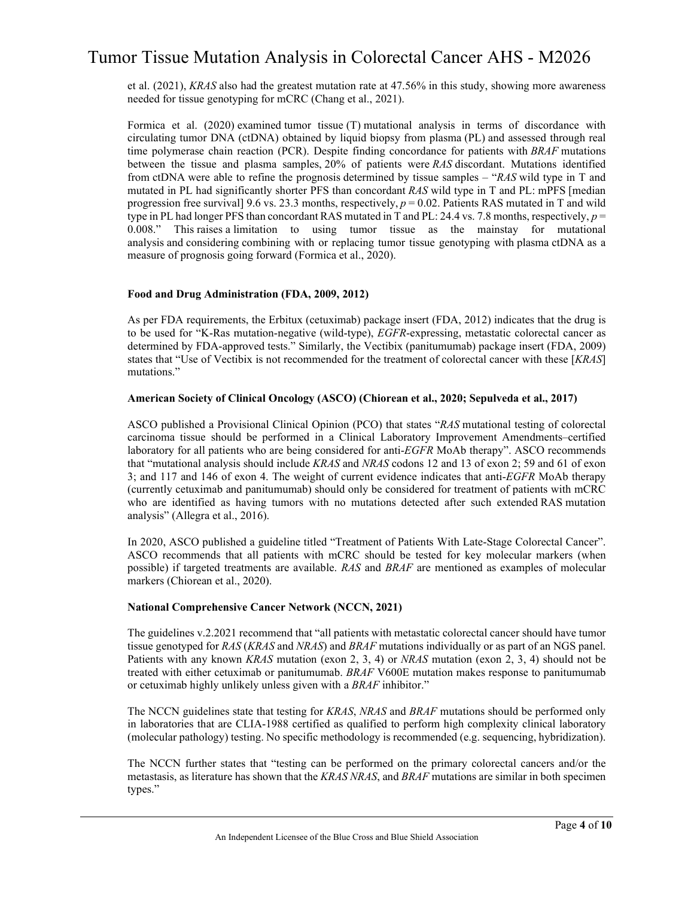et al. (2021), *KRAS* also had the greatest mutation rate at 47.56% in this study, showing more awareness needed for tissue genotyping for mCRC (Chang et al., 2021).

Formica et al. (2020) examined tumor tissue (T) mutational analysis in terms of discordance with circulating tumor DNA (ctDNA) obtained by liquid biopsy from plasma (PL) and assessed through real time polymerase chain reaction (PCR). Despite finding concordance for patients with *BRAF* mutations between the tissue and plasma samples, 20% of patients were *RAS* discordant. Mutations identified from ctDNA were able to refine the prognosis determined by tissue samples – "*RAS* wild type in T and mutated in PL had significantly shorter PFS than concordant *RAS* wild type in T and PL: mPFS [median progression free survival] 9.6 vs. 23.3 months, respectively, *p* = 0.02. Patients RAS mutated in T and wild type in PL had longer PFS than concordant RAS mutated in T and PL: 24.4 vs. 7.8 months, respectively, *p* = 0.008." This raises a limitation to using tumor tissue as the mainstay for mutational analysis and considering combining with or replacing tumor tissue genotyping with plasma ctDNA as a measure of prognosis going forward (Formica et al., 2020).

#### **Food and Drug Administration (FDA, 2009, 2012)**

As per FDA requirements, the Erbitux (cetuximab) package insert (FDA, 2012) indicates that the drug is to be used for "K-Ras mutation-negative (wild-type), *EGFR*-expressing, metastatic colorectal cancer as determined by FDA-approved tests." Similarly, the Vectibix (panitumumab) package insert (FDA, 2009) states that "Use of Vectibix is not recommended for the treatment of colorectal cancer with these [*KRAS*] mutations."

#### **American Society of Clinical Oncology (ASCO) (Chiorean et al., 2020; Sepulveda et al., 2017)**

ASCO published a Provisional Clinical Opinion (PCO) that states "*RAS* mutational testing of colorectal carcinoma tissue should be performed in a Clinical Laboratory Improvement Amendments–certified laboratory for all patients who are being considered for anti-*EGFR* MoAb therapy". ASCO recommends that "mutational analysis should include *KRAS* and *NRAS* codons 12 and 13 of exon 2; 59 and 61 of exon 3; and 117 and 146 of exon 4. The weight of current evidence indicates that anti-*EGFR* MoAb therapy (currently cetuximab and panitumumab) should only be considered for treatment of patients with mCRC who are identified as having tumors with no mutations detected after such extended RAS mutation analysis" (Allegra et al., 2016).

In 2020, ASCO published a guideline titled "Treatment of Patients With Late-Stage Colorectal Cancer". ASCO recommends that all patients with mCRC should be tested for key molecular markers (when possible) if targeted treatments are available. *RAS* and *BRAF* are mentioned as examples of molecular markers (Chiorean et al., 2020).

#### **National Comprehensive Cancer Network (NCCN, 2021)**

The guidelines v.2.2021 recommend that "all patients with metastatic colorectal cancer should have tumor tissue genotyped for *RAS* (*KRAS* and *NRAS*) and *BRAF* mutations individually or as part of an NGS panel. Patients with any known *KRAS* mutation (exon 2, 3, 4) or *NRAS* mutation (exon 2, 3, 4) should not be treated with either cetuximab or panitumumab. *BRAF* V600E mutation makes response to panitumumab or cetuximab highly unlikely unless given with a *BRAF* inhibitor."

The NCCN guidelines state that testing for *KRAS*, *NRAS* and *BRAF* mutations should be performed only in laboratories that are CLIA-1988 certified as qualified to perform high complexity clinical laboratory (molecular pathology) testing. No specific methodology is recommended (e.g. sequencing, hybridization).

The NCCN further states that "testing can be performed on the primary colorectal cancers and/or the metastasis, as literature has shown that the *KRAS NRAS*, and *BRAF* mutations are similar in both specimen types."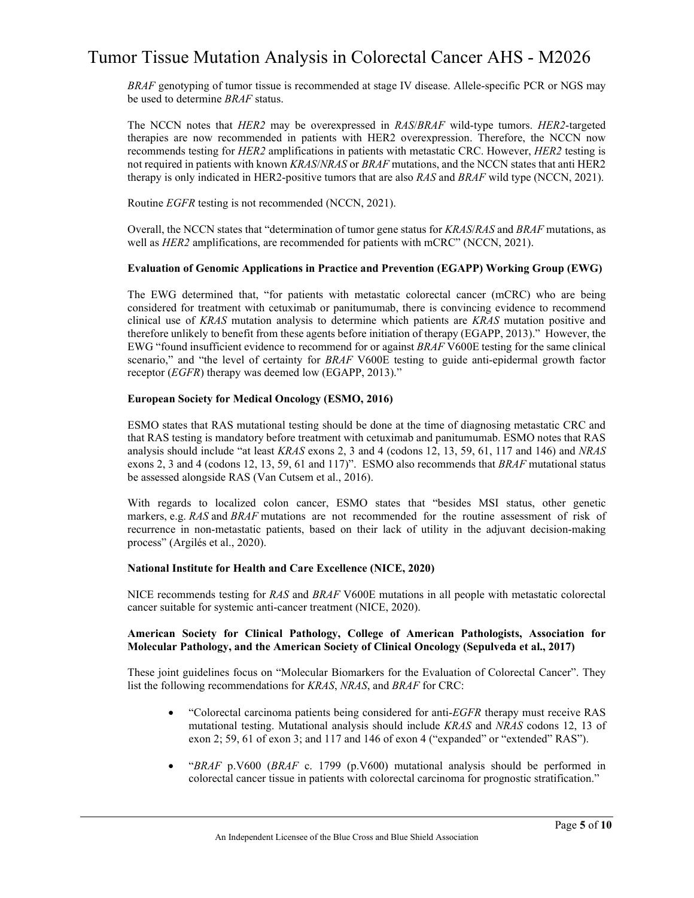*BRAF* genotyping of tumor tissue is recommended at stage IV disease. Allele-specific PCR or NGS may be used to determine *BRAF* status.

The NCCN notes that *HER2* may be overexpressed in *RAS*/*BRAF* wild-type tumors. *HER2*-targeted therapies are now recommended in patients with HER2 overexpression. Therefore, the NCCN now recommends testing for *HER2* amplifications in patients with metastatic CRC. However, *HER2* testing is not required in patients with known *KRAS*/*NRAS* or *BRAF* mutations, and the NCCN states that anti HER2 therapy is only indicated in HER2-positive tumors that are also *RAS* and *BRAF* wild type (NCCN, 2021).

Routine *EGFR* testing is not recommended (NCCN, 2021).

Overall, the NCCN states that "determination of tumor gene status for *KRAS*/*RAS* and *BRAF* mutations, as well as *HER2* amplifications, are recommended for patients with mCRC" (NCCN, 2021).

#### **Evaluation of Genomic Applications in Practice and Prevention (EGAPP) Working Group (EWG)**

The EWG determined that, "for patients with metastatic colorectal cancer (mCRC) who are being considered for treatment with cetuximab or panitumumab, there is convincing evidence to recommend clinical use of *KRAS* mutation analysis to determine which patients are *KRAS* mutation positive and therefore unlikely to benefit from these agents before initiation of therapy (EGAPP, 2013)." However, the EWG "found insufficient evidence to recommend for or against *BRAF* V600E testing for the same clinical scenario," and "the level of certainty for *BRAF* V600E testing to guide anti-epidermal growth factor receptor (*EGFR*) therapy was deemed low (EGAPP, 2013)."

#### **European Society for Medical Oncology (ESMO, 2016)**

ESMO states that RAS mutational testing should be done at the time of diagnosing metastatic CRC and that RAS testing is mandatory before treatment with cetuximab and panitumumab. ESMO notes that RAS analysis should include "at least *KRAS* exons 2, 3 and 4 (codons 12, 13, 59, 61, 117 and 146) and *NRAS* exons 2, 3 and 4 (codons 12, 13, 59, 61 and 117)". ESMO also recommends that *BRAF* mutational status be assessed alongside RAS (Van Cutsem et al., 2016).

With regards to localized colon cancer, ESMO states that "besides MSI status, other genetic markers, e.g. *RAS* and *BRAF* mutations are not recommended for the routine assessment of risk of recurrence in non-metastatic patients, based on their lack of utility in the adjuvant decision-making process" (Argilés et al., 2020).

#### **National Institute for Health and Care Excellence (NICE, 2020)**

NICE recommends testing for *RAS* and *BRAF* V600E mutations in all people with metastatic colorectal cancer suitable for systemic anti-cancer treatment (NICE, 2020).

#### **American Society for Clinical Pathology, College of American Pathologists, Association for Molecular Pathology, and the American Society of Clinical Oncology (Sepulveda et al., 2017)**

These joint guidelines focus on "Molecular Biomarkers for the Evaluation of Colorectal Cancer". They list the following recommendations for *KRAS*, *NRAS*, and *BRAF* for CRC:

- "Colorectal carcinoma patients being considered for anti-*EGFR* therapy must receive RAS mutational testing. Mutational analysis should include *KRAS* and *NRAS* codons 12, 13 of exon 2; 59, 61 of exon 3; and 117 and 146 of exon 4 ("expanded" or "extended" RAS").
- "*BRAF* p.V600 (*BRAF* c. 1799 (p.V600) mutational analysis should be performed in colorectal cancer tissue in patients with colorectal carcinoma for prognostic stratification."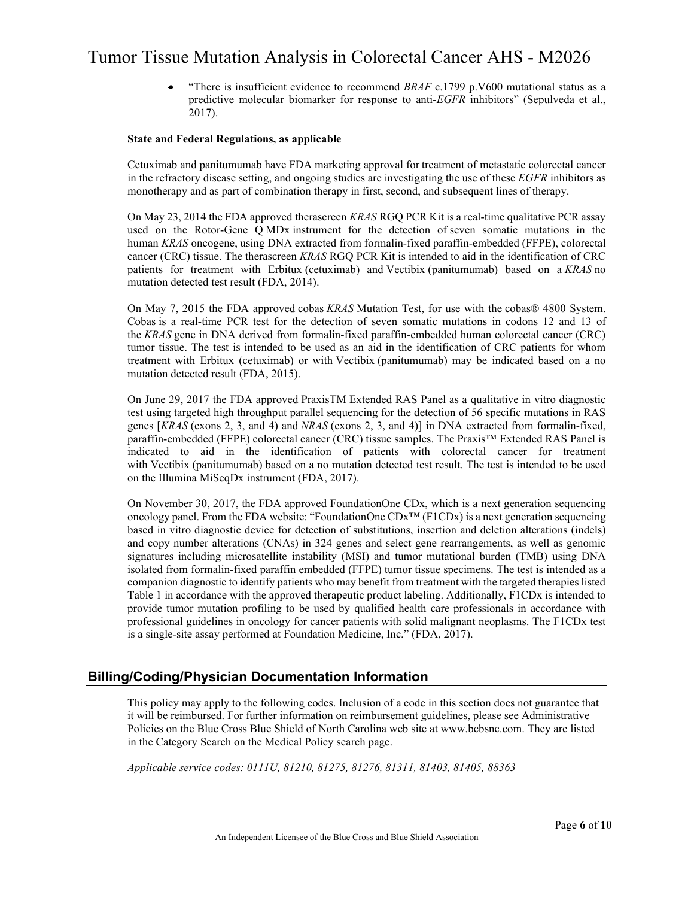• "There is insufficient evidence to recommend *BRAF* c.1799 p.V600 mutational status as a predictive molecular biomarker for response to anti-*EGFR* inhibitors" (Sepulveda et al., 2017).

#### **State and Federal Regulations, as applicable**

Cetuximab and panitumumab have FDA marketing approval for treatment of metastatic colorectal cancer in the refractory disease setting, and ongoing studies are investigating the use of these *EGFR* inhibitors as monotherapy and as part of combination therapy in first, second, and subsequent lines of therapy.

On May 23, 2014 the FDA approved therascreen *KRAS* RGQ PCR Kit is a real-time qualitative PCR assay used on the Rotor-Gene Q MDx instrument for the detection of seven somatic mutations in the human *KRAS* oncogene, using DNA extracted from formalin-fixed paraffin-embedded (FFPE), colorectal cancer (CRC) tissue. The therascreen *KRAS* RGQ PCR Kit is intended to aid in the identification of CRC patients for treatment with Erbitux (cetuximab) and Vectibix (panitumumab) based on a *KRAS* no mutation detected test result (FDA, 2014).

On May 7, 2015 the FDA approved cobas *KRAS* Mutation Test, for use with the cobas® 4800 System. Cobas is a real-time PCR test for the detection of seven somatic mutations in codons 12 and 13 of the *KRAS* gene in DNA derived from formalin-fixed paraffin-embedded human colorectal cancer (CRC) tumor tissue. The test is intended to be used as an aid in the identification of CRC patients for whom treatment with Erbitux (cetuximab) or with Vectibix (panitumumab) may be indicated based on a no mutation detected result (FDA, 2015).

On June 29, 2017 the FDA approved PraxisTM Extended RAS Panel as a qualitative in vitro diagnostic test using targeted high throughput parallel sequencing for the detection of 56 specific mutations in RAS genes [*KRAS* (exons 2, 3, and 4) and *NRAS* (exons 2, 3, and 4)] in DNA extracted from formalin-fixed, paraffin-embedded (FFPE) colorectal cancer (CRC) tissue samples. The Praxis™ Extended RAS Panel is indicated to aid in the identification of patients with colorectal cancer for treatment with Vectibix (panitumumab) based on a no mutation detected test result. The test is intended to be used on the Illumina MiSeqDx instrument (FDA, 2017).

On November 30, 2017, the FDA approved FoundationOne CDx, which is a next generation sequencing oncology panel. From the FDA website: "FoundationOne CDx™ (F1CDx) is a next generation sequencing based in vitro diagnostic device for detection of substitutions, insertion and deletion alterations (indels) and copy number alterations (CNAs) in 324 genes and select gene rearrangements, as well as genomic signatures including microsatellite instability (MSI) and tumor mutational burden (TMB) using DNA isolated from formalin-fixed paraffin embedded (FFPE) tumor tissue specimens. The test is intended as a companion diagnostic to identify patients who may benefit from treatment with the targeted therapies listed Table 1 in accordance with the approved therapeutic product labeling. Additionally, F1CDx is intended to provide tumor mutation profiling to be used by qualified health care professionals in accordance with professional guidelines in oncology for cancer patients with solid malignant neoplasms. The F1CDx test is a single-site assay performed at Foundation Medicine, Inc." (FDA, 2017).

### **Billing/Coding/Physician Documentation Information**

This policy may apply to the following codes. Inclusion of a code in this section does not guarantee that it will be reimbursed. For further information on reimbursement guidelines, please see Administrative Policies on the Blue Cross Blue Shield of North Carolina web site at www.bcbsnc.com. They are listed in the Category Search on the Medical Policy search page.

*Applicable service codes: 0111U, 81210, 81275, 81276, 81311, 81403, 81405, 88363*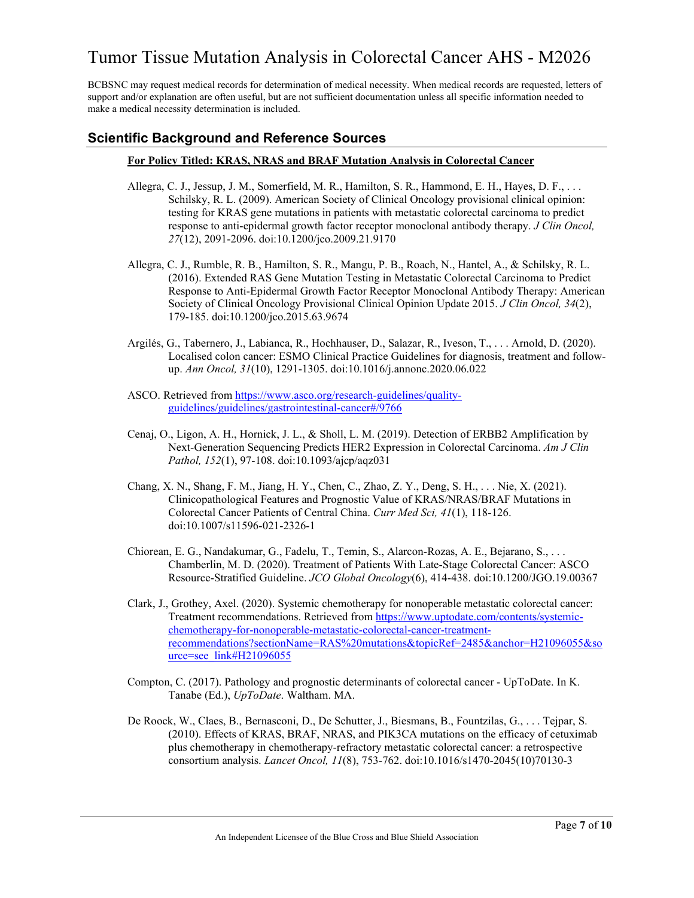BCBSNC may request medical records for determination of medical necessity. When medical records are requested, letters of support and/or explanation are often useful, but are not sufficient documentation unless all specific information needed to make a medical necessity determination is included.

### **Scientific Background and Reference Sources**

#### **For Policy Titled: KRAS, NRAS and BRAF Mutation Analysis in Colorectal Cancer**

- Allegra, C. J., Jessup, J. M., Somerfield, M. R., Hamilton, S. R., Hammond, E. H., Hayes, D. F., . . . Schilsky, R. L. (2009). American Society of Clinical Oncology provisional clinical opinion: testing for KRAS gene mutations in patients with metastatic colorectal carcinoma to predict response to anti-epidermal growth factor receptor monoclonal antibody therapy. *J Clin Oncol, 27*(12), 2091-2096. doi:10.1200/jco.2009.21.9170
- Allegra, C. J., Rumble, R. B., Hamilton, S. R., Mangu, P. B., Roach, N., Hantel, A., & Schilsky, R. L. (2016). Extended RAS Gene Mutation Testing in Metastatic Colorectal Carcinoma to Predict Response to Anti-Epidermal Growth Factor Receptor Monoclonal Antibody Therapy: American Society of Clinical Oncology Provisional Clinical Opinion Update 2015. *J Clin Oncol, 34*(2), 179-185. doi:10.1200/jco.2015.63.9674
- Argilés, G., Tabernero, J., Labianca, R., Hochhauser, D., Salazar, R., Iveson, T., . . . Arnold, D. (2020). Localised colon cancer: ESMO Clinical Practice Guidelines for diagnosis, treatment and followup. *Ann Oncol, 31*(10), 1291-1305. doi:10.1016/j.annonc.2020.06.022
- ASCO. Retrieved fro[m https://www.asco.org/research-guidelines/quality](https://www.asco.org/research-guidelines/quality-guidelines/guidelines/gastrointestinal-cancer#/9766)[guidelines/guidelines/gastrointestinal-cancer#/9766](https://www.asco.org/research-guidelines/quality-guidelines/guidelines/gastrointestinal-cancer#/9766)
- Cenaj, O., Ligon, A. H., Hornick, J. L., & Sholl, L. M. (2019). Detection of ERBB2 Amplification by Next-Generation Sequencing Predicts HER2 Expression in Colorectal Carcinoma. *Am J Clin Pathol, 152*(1), 97-108. doi:10.1093/ajcp/aqz031
- Chang, X. N., Shang, F. M., Jiang, H. Y., Chen, C., Zhao, Z. Y., Deng, S. H., . . . Nie, X. (2021). Clinicopathological Features and Prognostic Value of KRAS/NRAS/BRAF Mutations in Colorectal Cancer Patients of Central China. *Curr Med Sci, 41*(1), 118-126. doi:10.1007/s11596-021-2326-1
- Chiorean, E. G., Nandakumar, G., Fadelu, T., Temin, S., Alarcon-Rozas, A. E., Bejarano, S., . . . Chamberlin, M. D. (2020). Treatment of Patients With Late-Stage Colorectal Cancer: ASCO Resource-Stratified Guideline. *JCO Global Oncology*(6), 414-438. doi:10.1200/JGO.19.00367
- Clark, J., Grothey, Axel. (2020). Systemic chemotherapy for nonoperable metastatic colorectal cancer: Treatment recommendations. Retrieved fro[m https://www.uptodate.com/contents/systemic](https://www.uptodate.com/contents/systemic-chemotherapy-for-nonoperable-metastatic-colorectal-cancer-treatment-recommendations?sectionName=RAS%20mutations&topicRef=2485&anchor=H21096055&source=see_link#H21096055)[chemotherapy-for-nonoperable-metastatic-colorectal-cancer-treatment](https://www.uptodate.com/contents/systemic-chemotherapy-for-nonoperable-metastatic-colorectal-cancer-treatment-recommendations?sectionName=RAS%20mutations&topicRef=2485&anchor=H21096055&source=see_link#H21096055)[recommendations?sectionName=RAS%20mutations&topicRef=2485&anchor=H21096055&so](https://www.uptodate.com/contents/systemic-chemotherapy-for-nonoperable-metastatic-colorectal-cancer-treatment-recommendations?sectionName=RAS%20mutations&topicRef=2485&anchor=H21096055&source=see_link#H21096055) [urce=see\\_link#H21096055](https://www.uptodate.com/contents/systemic-chemotherapy-for-nonoperable-metastatic-colorectal-cancer-treatment-recommendations?sectionName=RAS%20mutations&topicRef=2485&anchor=H21096055&source=see_link#H21096055)
- Compton, C. (2017). Pathology and prognostic determinants of colorectal cancer UpToDate. In K. Tanabe (Ed.), *UpToDate*. Waltham. MA.
- De Roock, W., Claes, B., Bernasconi, D., De Schutter, J., Biesmans, B., Fountzilas, G., . . . Tejpar, S. (2010). Effects of KRAS, BRAF, NRAS, and PIK3CA mutations on the efficacy of cetuximab plus chemotherapy in chemotherapy-refractory metastatic colorectal cancer: a retrospective consortium analysis. *Lancet Oncol, 11*(8), 753-762. doi:10.1016/s1470-2045(10)70130-3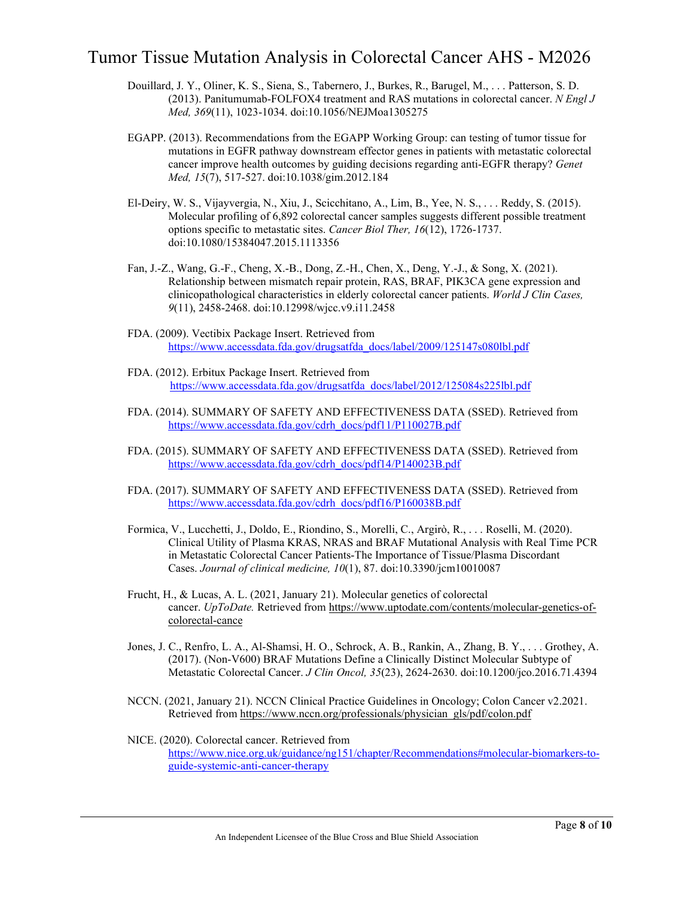- Douillard, J. Y., Oliner, K. S., Siena, S., Tabernero, J., Burkes, R., Barugel, M., . . . Patterson, S. D. (2013). Panitumumab-FOLFOX4 treatment and RAS mutations in colorectal cancer. *N Engl J Med, 369*(11), 1023-1034. doi:10.1056/NEJMoa1305275
- EGAPP. (2013). Recommendations from the EGAPP Working Group: can testing of tumor tissue for mutations in EGFR pathway downstream effector genes in patients with metastatic colorectal cancer improve health outcomes by guiding decisions regarding anti-EGFR therapy? *Genet Med, 15*(7), 517-527. doi:10.1038/gim.2012.184
- El-Deiry, W. S., Vijayvergia, N., Xiu, J., Scicchitano, A., Lim, B., Yee, N. S., . . . Reddy, S. (2015). Molecular profiling of 6,892 colorectal cancer samples suggests different possible treatment options specific to metastatic sites. *Cancer Biol Ther, 16*(12), 1726-1737. doi:10.1080/15384047.2015.1113356
- Fan, J.-Z., Wang, G.-F., Cheng, X.-B., Dong, Z.-H., Chen, X., Deng, Y.-J., & Song, X. (2021). Relationship between mismatch repair protein, RAS, BRAF, PIK3CA gene expression and clinicopathological characteristics in elderly colorectal cancer patients. *World J Clin Cases, 9*(11), 2458-2468. doi:10.12998/wjcc.v9.i11.2458
- FDA. (2009). Vectibix Package Insert. Retrieved from [https://www.accessdata.fda.gov/drugsatfda\\_docs/label/2009/125147s080lbl.pdf](https://www.accessdata.fda.gov/drugsatfda_docs/label/2009/125147s080lbl.pdf)
- FDA. (2012). Erbitux Package Insert. Retrieved from [https://www.accessdata.fda.gov/drugsatfda\\_docs/label/2012/125084s225lbl.pdf](https://www.accessdata.fda.gov/drugsatfda_docs/label/2012/125084s225lbl.pdf)
- FDA. (2014). SUMMARY OF SAFETY AND EFFECTIVENESS DATA (SSED). Retrieved from [https://www.accessdata.fda.gov/cdrh\\_docs/pdf11/P110027B.pdf](https://www.accessdata.fda.gov/cdrh_docs/pdf11/P110027B.pdf)
- FDA. (2015). SUMMARY OF SAFETY AND EFFECTIVENESS DATA (SSED). Retrieved from [https://www.accessdata.fda.gov/cdrh\\_docs/pdf14/P140023B.pdf](https://www.accessdata.fda.gov/cdrh_docs/pdf14/P140023B.pdf)
- FDA. (2017). SUMMARY OF SAFETY AND EFFECTIVENESS DATA (SSED). Retrieved from [https://www.accessdata.fda.gov/cdrh\\_docs/pdf16/P160038B.pdf](https://www.accessdata.fda.gov/cdrh_docs/pdf16/P160038B.pdf)
- Formica, V., Lucchetti, J., Doldo, E., Riondino, S., Morelli, C., Argirò, R., . . . Roselli, M. (2020). Clinical Utility of Plasma KRAS, NRAS and BRAF Mutational Analysis with Real Time PCR in Metastatic Colorectal Cancer Patients-The Importance of Tissue/Plasma Discordant Cases. *Journal of clinical medicine, 10*(1), 87. doi:10.3390/jcm10010087
- Frucht, H., & Lucas, A. L. (2021, January 21). Molecular genetics of colorectal cancer. *UpToDate.* Retrieved from [https://www.uptodate.com/contents/molecular-genetics-of](https://www.uptodate.com/contents/molecular-genetics-of-colorectal-cancer)[colorectal-cance](https://www.uptodate.com/contents/molecular-genetics-of-colorectal-cancer)
- Jones, J. C., Renfro, L. A., Al-Shamsi, H. O., Schrock, A. B., Rankin, A., Zhang, B. Y., . . . Grothey, A. (2017). (Non-V600) BRAF Mutations Define a Clinically Distinct Molecular Subtype of Metastatic Colorectal Cancer. *J Clin Oncol, 35*(23), 2624-2630. doi:10.1200/jco.2016.71.4394
- NCCN. (2021, January 21). NCCN Clinical Practice Guidelines in Oncology; Colon Cancer v2.2021. Retrieved from [https://www.nccn.org/professionals/physician\\_gls/pdf/colon.pdf](https://www.nccn.org/professionals/physician_gls/pdf/colon.pdf)
- NICE. (2020). Colorectal cancer. Retrieved from [https://www.nice.org.uk/guidance/ng151/chapter/Recommendations#molecular-biomarkers-to](https://www.nice.org.uk/guidance/ng151/chapter/Recommendations#molecular-biomarkers-to-guide-systemic-anti-cancer-therapy)[guide-systemic-anti-cancer-therapy](https://www.nice.org.uk/guidance/ng151/chapter/Recommendations#molecular-biomarkers-to-guide-systemic-anti-cancer-therapy)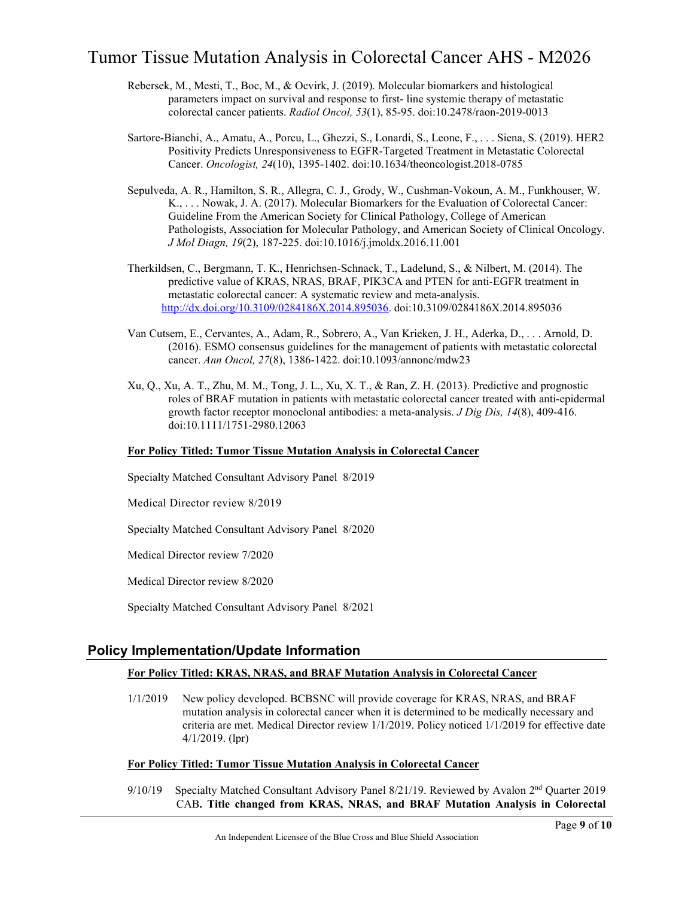- Rebersek, M., Mesti, T., Boc, M., & Ocvirk, J. (2019). Molecular biomarkers and histological parameters impact on survival and response to first- line systemic therapy of metastatic colorectal cancer patients. *Radiol Oncol, 53*(1), 85-95. doi:10.2478/raon-2019-0013
- Sartore-Bianchi, A., Amatu, A., Porcu, L., Ghezzi, S., Lonardi, S., Leone, F., . . . Siena, S. (2019). HER2 Positivity Predicts Unresponsiveness to EGFR-Targeted Treatment in Metastatic Colorectal Cancer. *Oncologist, 24*(10), 1395-1402. doi:10.1634/theoncologist.2018-0785
- Sepulveda, A. R., Hamilton, S. R., Allegra, C. J., Grody, W., Cushman-Vokoun, A. M., Funkhouser, W. K., . . . Nowak, J. A. (2017). Molecular Biomarkers for the Evaluation of Colorectal Cancer: Guideline From the American Society for Clinical Pathology, College of American Pathologists, Association for Molecular Pathology, and American Society of Clinical Oncology. *J Mol Diagn, 19*(2), 187-225. doi:10.1016/j.jmoldx.2016.11.001
- Therkildsen, C., Bergmann, T. K., Henrichsen-Schnack, T., Ladelund, S., & Nilbert, M. (2014). The predictive value of KRAS, NRAS, BRAF, PIK3CA and PTEN for anti-EGFR treatment in metastatic colorectal cancer: A systematic review and meta-analysis. [http://dx.doi.org/10.3109/0284186X.2014.895036.](http://dx.doi.org/10.3109/0284186X.2014.895036) doi:10.3109/0284186X.2014.895036
- Van Cutsem, E., Cervantes, A., Adam, R., Sobrero, A., Van Krieken, J. H., Aderka, D., . . . Arnold, D. (2016). ESMO consensus guidelines for the management of patients with metastatic colorectal cancer. *Ann Oncol, 27*(8), 1386-1422. doi:10.1093/annonc/mdw23
- Xu, Q., Xu, A. T., Zhu, M. M., Tong, J. L., Xu, X. T., & Ran, Z. H. (2013). Predictive and prognostic roles of BRAF mutation in patients with metastatic colorectal cancer treated with anti-epidermal growth factor receptor monoclonal antibodies: a meta-analysis. *J Dig Dis, 14*(8), 409-416. doi:10.1111/1751-2980.12063

#### **For Policy Titled: Tumor Tissue Mutation Analysis in Colorectal Cancer**

Specialty Matched Consultant Advisory Panel 8/2019

Medical Director review 8/2019

Specialty Matched Consultant Advisory Panel 8/2020

Medical Director review 7/2020

Medical Director review 8/2020

Specialty Matched Consultant Advisory Panel 8/2021

### **Policy Implementation/Update Information**

#### **For Policy Titled: KRAS, NRAS, and BRAF Mutation Analysis in Colorectal Cancer**

1/1/2019 New policy developed. BCBSNC will provide coverage for KRAS, NRAS, and BRAF mutation analysis in colorectal cancer when it is determined to be medically necessary and criteria are met. Medical Director review 1/1/2019. Policy noticed 1/1/2019 for effective date 4/1/2019. (lpr)

#### **For Policy Titled: Tumor Tissue Mutation Analysis in Colorectal Cancer**

9/10/19 Specialty Matched Consultant Advisory Panel 8/21/19. Reviewed by Avalon 2<sup>nd</sup> Quarter 2019 CAB**. Title changed from KRAS, NRAS, and BRAF Mutation Analysis in Colorectal**